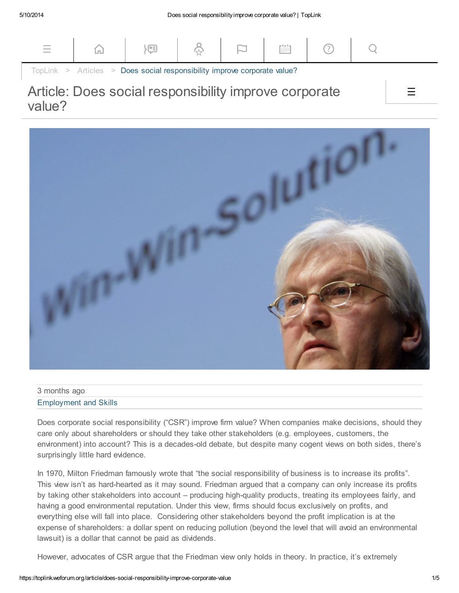

## Article: Does social responsibility improve corporate value?



| 3 months ago                 |  |
|------------------------------|--|
| <b>Employment and Skills</b> |  |

Does corporate social responsibility ("CSR") improve firm value? When companies make decisions, should they care only about shareholders or should they take other stakeholders (e.g. employees, customers, the environment) into account? This is a decades-old debate, but despite many cogent views on both sides, there's surprisingly little hard evidence.

In 1970, Milton Friedman famously wrote that "the social responsibility of business is to increase its profits". This view isn't as hard-hearted as it may sound. Friedman argued that a company can only increase its profits by taking other stakeholders into account – producing high-quality products, treating its employees fairly, and having a good environmental reputation. Under this view, firms should focus exclusively on profits, and everything else will fall into place. Considering other stakeholders beyond the profit implication is at the expense of shareholders: a dollar spent on reducing pollution (beyond the level that will avoid an environmental lawsuit) is a dollar that cannot be paid as dividends.

However, advocates of CSR argue that the Friedman view only holds in theory. In practice, it's extremely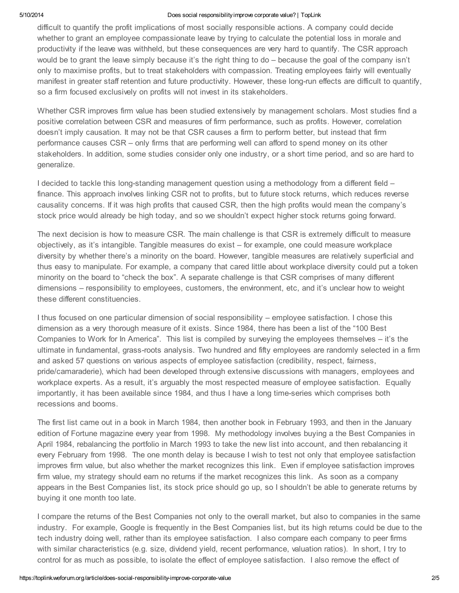## 5/10/2014 Does social responsibilityimprove corporate value? | TopLink

difficult to quantify the profit implications of most socially responsible actions. A company could decide whether to grant an employee compassionate leave by trying to calculate the potential loss in morale and productivity if the leave was withheld, but these consequences are very hard to quantify. The CSR approach would be to grant the leave simply because it's the right thing to do – because the goal of the company isn't only to maximise profits, but to treat stakeholders with compassion. Treating employees fairly will eventually manifest in greater staff retention and future productivity. However, these long-run effects are difficult to quantify, so a firm focused exclusively on profits will not invest in its stakeholders.

Whether CSR improves firm value has been studied extensively by management scholars. Most studies find a positive correlation between CSR and measures of firm performance, such as profits. However, correlation doesn't imply causation. It may not be that CSR causes a firm to perform better, but instead that firm performance causes CSR – only firms that are performing well can afford to spend money on its other stakeholders. In addition, some studies consider only one industry, or a short time period, and so are hard to generalize.

I decided to tackle this long-standing management question using a methodology from a different field – finance. This approach involves linking CSR not to profits, but to future stock returns, which reduces reverse causality concerns. If it was high profits that caused CSR, then the high profits would mean the company's stock price would already be high today, and so we shouldn't expect higher stock returns going forward.

The next decision is how to measure CSR. The main challenge is that CSR is extremely difficult to measure objectively, as it's intangible. Tangible measures do exist – for example, one could measure workplace diversity by whether there's a minority on the board. However, tangible measures are relatively superficial and thus easy to manipulate. For example, a company that cared little about workplace diversity could put a token minority on the board to "check the box". A separate challenge is that CSR comprises of many different dimensions – responsibility to employees, customers, the environment, etc, and it's unclear how to weight these different constituencies.

I thus focused on one particular dimension of social responsibility – employee satisfaction. I chose this dimension as a very thorough measure of it exists. Since 1984, there has been a list of the "100 Best Companies to Work for In America". This list is compiled by surveying the employees themselves – it's the ultimate in fundamental, grass-roots analysis. Two hundred and fifty employees are randomly selected in a firm and asked 57 questions on various aspects of employee satisfaction (credibility, respect, fairness, pride/camaraderie), which had been developed through extensive discussions with managers, employees and workplace experts. As a result, it's arguably the most respected measure of employee satisfaction. Equally importantly, it has been available since 1984, and thus I have a long time-series which comprises both recessions and booms.

The first list came out in a book in March 1984, then another book in February 1993, and then in the January edition of Fortune magazine every year from 1998. My methodology involves buying a the Best Companies in April 1984, rebalancing the portfolio in March 1993 to take the new list into account, and then rebalancing it every February from 1998. The one month delay is because I wish to test not only that employee satisfaction improves firm value, but also whether the market recognizes this link. Even if employee satisfaction improves firm value, my strategy should earn no returns if the market recognizes this link. As soon as a company appears in the Best Companies list, its stock price should go up, so I shouldn't be able to generate returns by buying it one month too late.

I compare the returns of the Best Companies not only to the overall market, but also to companies in the same industry. For example, Google is frequently in the Best Companies list, but its high returns could be due to the tech industry doing well, rather than its employee satisfaction. I also compare each company to peer firms with similar characteristics (e.g. size, dividend yield, recent performance, valuation ratios). In short, I try to control for as much as possible, to isolate the effect of employee satisfaction. I also remove the effect of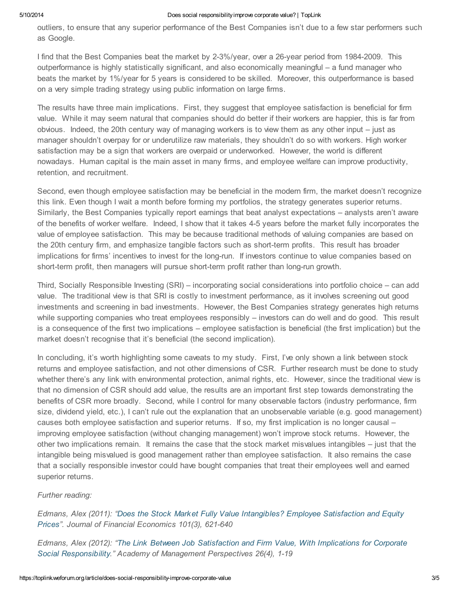## 5/10/2014 Does social responsibilityimprove corporate value? | TopLink

outliers, to ensure that any superior performance of the Best Companies isn't due to a few star performers such as Google.

I find that the Best Companies beat the market by 2-3%/year, over a 26-year period from 1984-2009. This outperformance is highly statistically significant, and also economically meaningful – a fund manager who beats the market by 1%/year for 5 years is considered to be skilled. Moreover, this outperformance is based on a very simple trading strategy using public information on large firms.

The results have three main implications. First, they suggest that employee satisfaction is beneficial for firm value. While it may seem natural that companies should do better if their workers are happier, this is far from obvious. Indeed, the 20th century way of managing workers is to view them as any other input – just as manager shouldn't overpay for or underutilize raw materials, they shouldn't do so with workers. High worker satisfaction may be a sign that workers are overpaid or underworked. However, the world is different nowadays. Human capital is the main asset in many firms, and employee welfare can improve productivity, retention, and recruitment.

Second, even though employee satisfaction may be beneficial in the modern firm, the market doesn't recognize this link. Even though I wait a month before forming my portfolios, the strategy generates superior returns. Similarly, the Best Companies typically report earnings that beat analyst expectations – analysts aren't aware of the benefits of worker welfare. Indeed, I show that it takes 4-5 years before the market fully incorporates the value of employee satisfaction. This may be because traditional methods of valuing companies are based on the 20th century firm, and emphasize tangible factors such as short-term profits. This result has broader implications for firms' incentives to invest for the long-run. If investors continue to value companies based on short-term profit, then managers will pursue short-term profit rather than long-run growth.

Third, Socially Responsible Investing (SRI) – incorporating social considerations into portfolio choice – can add value. The traditional view is that SRI is costly to investment performance, as it involves screening out good investments and screening in bad investments. However, the Best Companies strategy generates high returns while supporting companies who treat employees responsibly – investors can do well and do good. This result is a consequence of the first two implications – employee satisfaction is beneficial (the first implication) but the market doesn't recognise that it's beneficial (the second implication).

In concluding, it's worth highlighting some caveats to my study. First, I've only shown a link between stock returns and employee satisfaction, and not other dimensions of CSR. Further research must be done to study whether there's any link with environmental protection, animal rights, etc. However, since the traditional view is that no dimension of CSR should add value, the results are an important first step towards demonstrating the benefits of CSR more broadly. Second, while I control for many observable factors (industry performance, firm size, dividend yield, etc.), I can't rule out the explanation that an unobservable variable (e.g. good management) causes both employee satisfaction and superior returns. If so, my first implication is no longer causal – improving employee satisfaction (without changing management) won't improve stock returns. However, the other two implications remain. It remains the case that the stock market misvalues intangibles – just that the intangible being misvalued is good management rather than employee satisfaction. It also remains the case that a socially responsible investor could have bought companies that treat their employees well and earned superior returns.

## Further reading:

Edmans, Alex (2011): "Does the Stock Market Fully Value [Intangibles?](http://faculty.london.edu/aedmans/Rowe.pdf) Employee Satisfaction and Equity Prices". Journal of Financial Economics 101(3), 621-640

Edmans, Alex (2012): "The Link Between Job Satisfaction and Firm Value, With Implications for Corporate Social [Responsibility."](http://faculty.london.edu/aedmans/RoweAMP.pdf) Academy of Management Perspectives 26(4), 1-19